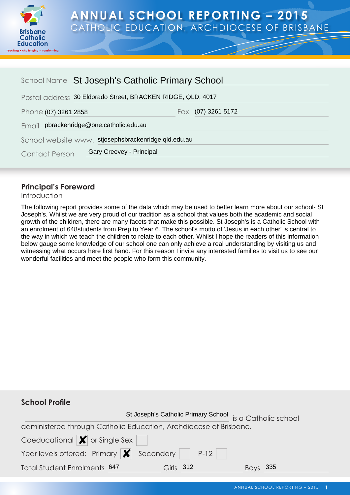

# **ANNUAL SCHOOL REPORTING – 2015** CATHOLIC EDUCATION, ARCHDIOCESE OF BRISBANE

| School Name St Joseph's Catholic Primary School      |                                                             |  |  |  |
|------------------------------------------------------|-------------------------------------------------------------|--|--|--|
|                                                      | Postal address 30 Eldorado Street, BRACKEN RIDGE, QLD, 4017 |  |  |  |
| Phone (07) 3261 2858                                 | Fax $(07)$ 3261 5172                                        |  |  |  |
| Email pbrackenridge@bne.catholic.edu.au              |                                                             |  |  |  |
| School website www. stjosephsbrackenridge.qld.edu.au |                                                             |  |  |  |
| <b>Contact Person</b>                                | Gary Creevey - Principal                                    |  |  |  |

## **Principal's Foreword**

Introduction

The following report provides some of the data which may be used to better learn more about our school- St Joseph's. Whilst we are very proud of our tradition as a school that values both the academic and social growth of the children, there are many facets that make this possible. St Joseph's is a Catholic School with an enrolment of 648students from Prep to Year 6. The school's motto of 'Jesus in each other' is central to the way in which we teach the children to relate to each other. Whilst I hope the readers of this information below gauge some knowledge of our school one can only achieve a real understanding by visiting us and witnessing what occurs here first hand. For this reason I invite any interested families to visit us to see our wonderful facilities and meet the people who form this community.

| <b>School Profile</b>                                                             |                                                          |     |
|-----------------------------------------------------------------------------------|----------------------------------------------------------|-----|
|                                                                                   | St Joseph's Catholic Primary School is a Catholic school |     |
| administered through Catholic Education, Archdiocese of Brisbane.                 |                                                          |     |
| Coeducational $\blacktriangleright$ or Single Sex                                 |                                                          |     |
| Year levels offered: Primary $\vert \bm{\mathsf{x}} \vert$ Secondary $\vert$ P-12 |                                                          |     |
| Total Student Enrolments 647                                                      | Girls 312                                                | 335 |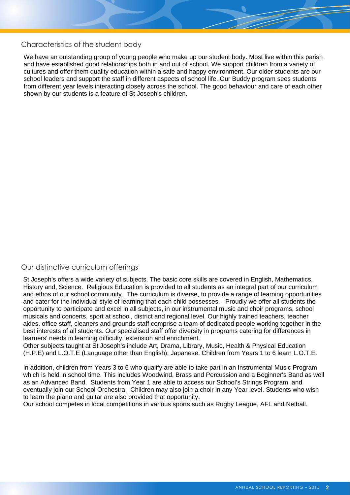#### Characteristics of the student body

We have an outstanding group of young people who make up our student body. Most live within this parish and have established good relationships both in and out of school. We support children from a variety of cultures and offer them quality education within a safe and happy environment. Our older students are our school leaders and support the staff in different aspects of school life. Our Buddy program sees students from different year levels interacting closely across the school. The good behaviour and care of each other shown by our students is a feature of St Joseph's children.

## Our distinctive curriculum offerings

St Joseph's offers a wide variety of subjects. The basic core skills are covered in English, Mathematics, History and, Science. Religious Education is provided to all students as an integral part of our curriculum and ethos of our school community. The curriculum is diverse, to provide a range of learning opportunities and cater for the individual style of learning that each child possesses. Proudly we offer all students the opportunity to participate and excel in all subjects, in our instrumental music and choir programs, school musicals and concerts, sport at school, district and regional level. Our highly trained teachers, teacher aides, office staff, cleaners and grounds staff comprise a team of dedicated people working together in the best interests of all students. Our specialised staff offer diversity in programs catering for differences in learners' needs in learning difficulty, extension and enrichment.

Other subjects taught at St Joseph's include Art, Drama, Library, Music, Health & Physical Education (H.P.E) and L.O.T.E (Language other than English); Japanese. Children from Years 1 to 6 learn L.O.T.E.

In addition, children from Years 3 to 6 who qualify are able to take part in an Instrumental Music Program which is held in school time. This includes Woodwind, Brass and Percussion and a Beginner's Band as well as an Advanced Band. Students from Year 1 are able to access our School's Strings Program, and eventually join our School Orchestra. Children may also join a choir in any Year level. Students who wish to learn the piano and guitar are also provided that opportunity.

Our school competes in local competitions in various sports such as Rugby League, AFL and Netball.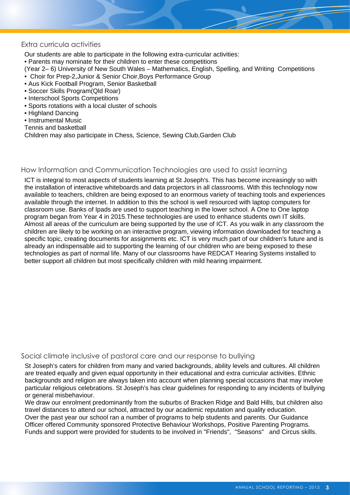#### Extra curricula activities

Our students are able to participate in the following extra-curricular activities:

• Parents may nominate for their children to enter these competitions

- (Year 2– 6) University of New South Wales Mathematics, English, Spelling, and Writing Competitions
- Choir for Prep-2,Junior & Senior Choir,Boys Performance Group
- Aus Kick Football Program, Senior Basketball
- Soccer Skills Program(Qld Roar)
- Interschool Sports Competitions
- Sports rotations with a local cluster of schools
- Highland Dancing
- Instrumental Music
- Tennis and basketball

Children may also participate in Chess, Science, Sewing Club,Garden Club

#### How Information and Communication Technologies are used to assist learning

ICT is integral to most aspects of students learning at St Joseph's. This has become increasingly so with the installation of interactive whiteboards and data projectors in all classrooms. With this technology now available to teachers, children are being exposed to an enormous variety of teaching tools and experiences available through the internet. In addition to this the school is well resourced with laptop computers for classroom use. Banks of Ipads are used to support teaching in the lower school. A One to One laptop program began from Year 4 in 2015.These technologies are used to enhance students own IT skills. Almost all areas of the curriculum are being supported by the use of ICT. As you walk in any classroom the children are likely to be working on an interactive program, viewing information downloaded for teaching a specific topic, creating documents for assignments etc. ICT is very much part of our children's future and is already an indispensable aid to supporting the learning of our children who are being exposed to these technologies as part of normal life. Many of our classrooms have REDCAT Hearing Systems installed to better support all children but most specifically children with mild hearing impairment.

#### Social climate inclusive of pastoral care and our response to bullying

St Joseph's caters for children from many and varied backgrounds, ability levels and cultures. All children are treated equally and given equal opportunity in their educational and extra curricular activities. Ethnic backgrounds and religion are always taken into account when planning special occasions that may involve particular religious celebrations. St Joseph's has clear guidelines for responding to any incidents of bullying or general misbehaviour.

We draw our enrolment predominantly from the suburbs of Bracken Ridge and Bald Hills, but children also travel distances to attend our school, attracted by our academic reputation and quality education. Over the past year our school ran a number of programs to help students and parents. Our Guidance Officer offered Community sponsored Protective Behaviour Workshops, Positive Parenting Programs. Funds and support were provided for students to be involved in "Friends", "Seasons" and Circus skills.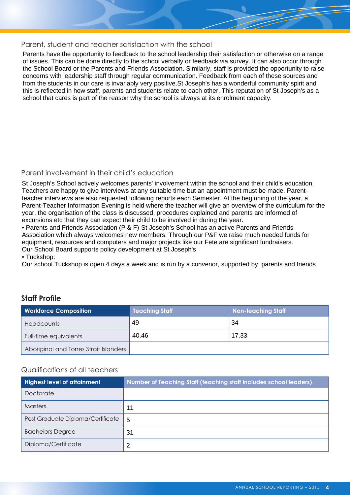#### Parent, student and teacher satisfaction with the school

Parents have the opportunity to feedback to the school leadership their satisfaction or otherwise on a range of issues. This can be done directly to the school verbally or feedback via survey. It can also occur through the School Board or the Parents and Friends Association. Similarly, staff is provided the opportunity to raise concerns with leadership staff through regular communication. Feedback from each of these sources and from the students in our care is invariably very positive.St Joseph's has a wonderful community spirit and this is reflected in how staff, parents and students relate to each other. This reputation of St Joseph's as a school that cares is part of the reason why the school is always at its enrolment capacity.

## Parent involvement in their child's education

St Joseph's School actively welcomes parents' involvement within the school and their child's education. Teachers are happy to give interviews at any suitable time but an appointment must be made. Parentteacher interviews are also requested following reports each Semester. At the beginning of the year, a Parent-Teacher Information Evening is held where the teacher will give an overview of the curriculum for the year, the organisation of the class is discussed, procedures explained and parents are informed of excursions etc that they can expect their child to be involved in during the year.

• Parents and Friends Association (P & F)-St Joseph's School has an active Parents and Friends Association which always welcomes new members. Through our P&F we raise much needed funds for equipment, resources and computers and major projects like our Fete are significant fundraisers. Our School Board supports policy development at St Joseph's

#### • Tuckshop:

Our school Tuckshop is open 4 days a week and is run by a convenor, supported by parents and friends

## **Workforce Composition Teaching Staff Non-teaching Staff Headcounts** Full-time equivalents Aboriginal and Torres Strait Islanders 49 34 40.46 17.33

## **Staff Profile**

#### Qualifications of all teachers

| <b>Highest level of attainment</b> | Number of Teaching Staff (teaching staff includes school leaders) |
|------------------------------------|-------------------------------------------------------------------|
| Doctorate                          |                                                                   |
| <b>Masters</b>                     | 11                                                                |
| Post Graduate Diploma/Certificate  | 5                                                                 |
| <b>Bachelors Degree</b>            | 31                                                                |
| Diploma/Certificate                | 2                                                                 |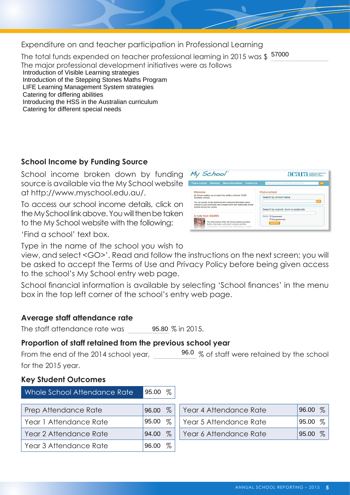Expenditure on and teacher participation in Professional Learning

The total funds expended on teacher professional learning in 2015 was \$157000<br>The major professional development initiatives were as follows

Introduction of Visible Learning strategies Introduction of the Stepping Stones Maths Program LIFE Learning Management System strategies Catering for differing abilities

Introducing the HSS in the Australian curriculum

Catering for different special needs

# **School Income by Funding Source**

School income broken down by funding source is available via the My School website at [http://www.myschool.edu.au/.](http://www.myschool.edu.au/)

To access our school income details, click on the My School link above. You will then be taken to the My School website with the following:



Type in the name of the school you wish to

view, and select <GO>'. Read and follow the instructions on the next screen; you will be asked to accept the Terms of Use and Privacy Policy before being given access to the school's My School entry web page.

School financial information is available by selecting 'School finances' in the menu box in the top left corner of the school's entry web page.

# **Average staff attendance rate**

The staff attendance rate was 95.80 % in 2015.

# **Proportion of staff retained from the previous school year**

From the end of the 2014 school year,  $\frac{96.0}{\%}$  of staff were retained by the school for the 2015 year.

## **Key Student Outcomes**

| Whole School Attendance Rate | 95.00 $%$     |                        |               |
|------------------------------|---------------|------------------------|---------------|
| Prep Attendance Rate         | $\%$<br>96.00 | Year 4 Attendance Rate | $\%$<br>96.00 |
| Year 1 Attendance Rate       | $\%$<br>95.00 | Year 5 Attendance Rate | $\%$<br>95.00 |
| Year 2 Attendance Rate       | $\%$<br>94.00 | Year 6 Attendance Rate | %<br>95.00    |
| Year 3 Attendance Rate       | $\%$<br>96.00 |                        |               |

My School acara Find a school Search by school name **Go** Search by suburb, town or postco A note from ACARA The third release